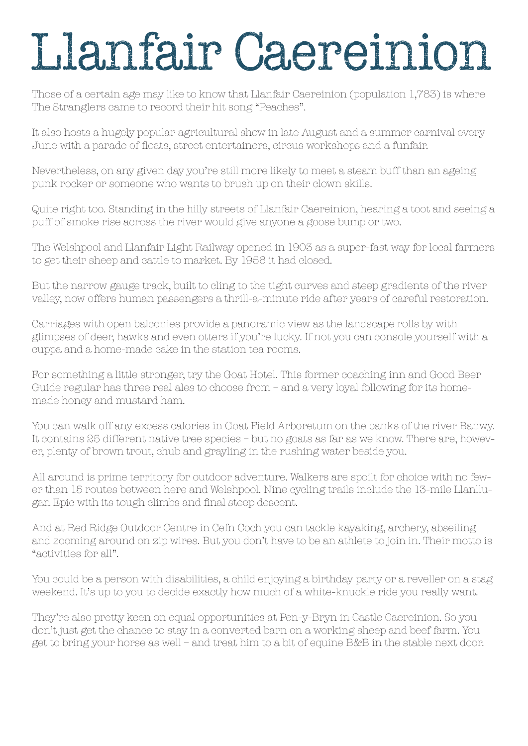## Llanfair Caereinion

Those of a certain age may like to know that Llanfair Caereinion (population 1,783) is where The Stranglers came to record their hit song "Peaches".

It also hosts a hugely popular agricultural show in late August and a summer carnival every June with a parade of floats, street entertainers, circus workshops and a funfair.

Nevertheless, on any given day you're still more likely to meet a steam buff than an ageing punk rocker or someone who wants to brush up on their clown skills.

Quite right too. Standing in the hilly streets of Llanfair Caereinion, hearing a toot and seeing a puff of smoke rise across the river would give anyone a goose bump or two.

The Welshpool and Llanfair Light Railway opened in 1903 as a super-fast way for local farmers to get their sheep and cattle to market. By 1956 it had closed.

But the narrow gauge track, built to cling to the tight curves and steep gradients of the river valley, now offers human passengers a thrill-a-minute ride after years of careful restoration.

Carriages with open balconies provide a panoramic view as the landscape rolls by with glimpses of deer, hawks and even otters if you're lucky. If not you can console yourself with a cuppa and a home-made cake in the station tea rooms.

For something a little stronger, try the Goat Hotel. This former coaching inn and Good Beer Guide regular has three real ales to choose from – and a very loyal following for its homemade honey and mustard ham.

You can walk off any excess calories in Goat Field Arboretum on the banks of the river Banwy. It contains 25 different native tree species – but no goats as far as we know. There are, however, plenty of brown trout, chub and grayling in the rushing water beside you.

All around is prime territory for outdoor adventure. Walkers are spoilt for choice with no fewer than 15 routes between here and Welshpool. Nine cycling trails include the 13-mile Llanllugan Epic with its tough climbs and final steep descent.

And at Red Ridge Outdoor Centre in Cefn Coch you can tackle kayaking, archery, abseiling and zooming around on zip wires. But you don't have to be an athlete to join in. Their motto is "activities for all".

You could be a person with disabilities, a child enjoying a birthday party or a reveller on a stag weekend. It's up to you to decide exactly how much of a white-knuckle ride you really want.

They're also pretty keen on equal opportunities at Pen-y-Bryn in Castle Caereinion. So you don't just get the chance to stay in a converted barn on a working sheep and beef farm. You get to bring your horse as well – and treat him to a bit of equine B&B in the stable next door.